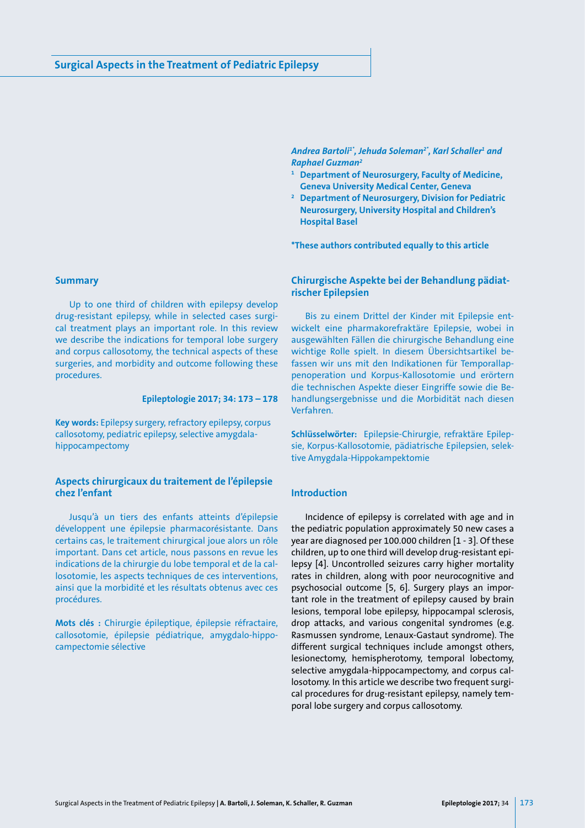Andrea Bartoli<sup>1</sup>\*, Jehuda Soleman<sup>2</sup>\*, Karl Schaller<del>'</del> and *Raphael Guzman2*

- **<sup>1</sup> Department of Neurosurgery, Faculty of Medicine, Geneva University Medical Center, Geneva**
- **<sup>2</sup> Department of Neurosurgery, Division for Pediatric Neurosurgery, University Hospital and Children's Hospital Basel**

**\*These authors contributed equally to this article**

#### **Summary**

Up to one third of children with epilepsy develop drug-resistant epilepsy, while in selected cases surgical treatment plays an important role. In this review we describe the indications for temporal lobe surgery and corpus callosotomy, the technical aspects of these surgeries, and morbidity and outcome following these procedures.

## **Epileptologie 2017; 34: 173 – 178**

**Key words:** Epilepsy surgery, refractory epilepsy, corpus callosotomy, pediatric epilepsy, selective amygdalahippocampectomy

# **Aspects chirurgicaux du traitement de l'épilepsie chez l'enfant**

Jusqu'à un tiers des enfants atteints d'épilepsie développent une épilepsie pharmacorésistante. Dans certains cas, le traitement chirurgical joue alors un rôle important. Dans cet article, nous passons en revue les indications de la chirurgie du lobe temporal et de la callosotomie, les aspects techniques de ces interventions, ainsi que la morbidité et les résultats obtenus avec ces procédures.

**Mots clés :** Chirurgie épileptique, épilepsie réfractaire, callosotomie, épilepsie pédiatrique, amygdalo-hippocampectomie sélective

# **Chirurgische Aspekte bei der Behandlung pädiatrischer Epilepsien**

Bis zu einem Drittel der Kinder mit Epilepsie entwickelt eine pharmakorefraktäre Epilepsie, wobei in ausgewählten Fällen die chirurgische Behandlung eine wichtige Rolle spielt. In diesem Übersichtsartikel befassen wir uns mit den Indikationen für Temporallappenoperation und Korpus-Kallosotomie und erörtern die technischen Aspekte dieser Eingriffe sowie die Behandlungsergebnisse und die Morbidität nach diesen Verfahren.

**Schlüsselwörter:** Epilepsie-Chirurgie, refraktäre Epilepsie, Korpus-Kallosotomie, pädiatrische Epilepsien, selektive Amygdala-Hippokampektomie

# **Introduction**

Incidence of epilepsy is correlated with age and in the pediatric population approximately 50 new cases a year are diagnosed per 100.000 children [1 - 3]. Of these children, up to one third will develop drug-resistant epilepsy [4]. Uncontrolled seizures carry higher mortality rates in children, along with poor neurocognitive and psychosocial outcome [5, 6]. Surgery plays an important role in the treatment of epilepsy caused by brain lesions, temporal lobe epilepsy, hippocampal sclerosis, drop attacks, and various congenital syndromes (e.g. Rasmussen syndrome, Lenaux-Gastaut syndrome). The different surgical techniques include amongst others, lesionectomy, hemispherotomy, temporal lobectomy, selective amygdala-hippocampectomy, and corpus callosotomy. In this article we describe two frequent surgical procedures for drug-resistant epilepsy, namely temporal lobe surgery and corpus callosotomy.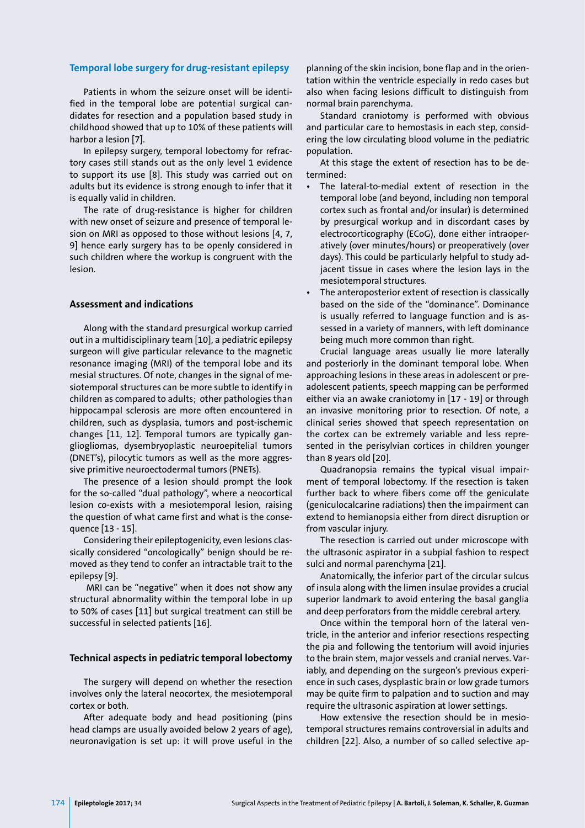### **Temporal lobe surgery for drug-resistant epilepsy**

Patients in whom the seizure onset will be identified in the temporal lobe are potential surgical candidates for resection and a population based study in childhood showed that up to 10% of these patients will harbor a lesion [7].

In epilepsy surgery, temporal lobectomy for refractory cases still stands out as the only level 1 evidence to support its use [8]. This study was carried out on adults but its evidence is strong enough to infer that it is equally valid in children.

The rate of drug-resistance is higher for children with new onset of seizure and presence of temporal lesion on MRI as opposed to those without lesions [4, 7, 9] hence early surgery has to be openly considered in such children where the workup is congruent with the lesion.

### **Assessment and indications**

Along with the standard presurgical workup carried out in a multidisciplinary team [10], a pediatric epilepsy surgeon will give particular relevance to the magnetic resonance imaging (MRI) of the temporal lobe and its mesial structures. Of note, changes in the signal of mesiotemporal structures can be more subtle to identify in children as compared to adults; other pathologies than hippocampal sclerosis are more often encountered in children, such as dysplasia, tumors and post-ischemic changes [11, 12]. Temporal tumors are typically gangliogliomas, dysembryoplastic neuroepitelial tumors (DNET's), pilocytic tumors as well as the more aggressive primitive neuroectodermal tumors (PNETs).

The presence of a lesion should prompt the look for the so-called "dual pathology", where a neocortical lesion co-exists with a mesiotemporal lesion, raising the question of what came first and what is the consequence [13 - 15].

Considering their epileptogenicity, even lesions classically considered "oncologically" benign should be removed as they tend to confer an intractable trait to the epilepsy [9].

 MRI can be "negative" when it does not show any structural abnormality within the temporal lobe in up to 50% of cases [11] but surgical treatment can still be successful in selected patients [16].

#### **Technical aspects in pediatric temporal lobectomy**

The surgery will depend on whether the resection involves only the lateral neocortex, the mesiotemporal cortex or both.

After adequate body and head positioning (pins head clamps are usually avoided below 2 years of age), neuronavigation is set up: it will prove useful in the planning of the skin incision, bone flap and in the orientation within the ventricle especially in redo cases but also when facing lesions difficult to distinguish from normal brain parenchyma.

Standard craniotomy is performed with obvious and particular care to hemostasis in each step, considering the low circulating blood volume in the pediatric population.

At this stage the extent of resection has to be determined:

- The lateral-to-medial extent of resection in the temporal lobe (and beyond, including non temporal cortex such as frontal and/or insular) is determined by presurgical workup and in discordant cases by electrocorticography (ECoG), done either intraoperatively (over minutes/hours) or preoperatively (over days). This could be particularly helpful to study adjacent tissue in cases where the lesion lays in the mesiotemporal structures.
- The anteroposterior extent of resection is classically based on the side of the "dominance". Dominance is usually referred to language function and is assessed in a variety of manners, with left dominance being much more common than right.

Crucial language areas usually lie more laterally and posteriorly in the dominant temporal lobe. When approaching lesions in these areas in adolescent or preadolescent patients, speech mapping can be performed either via an awake craniotomy in [17 - 19] or through an invasive monitoring prior to resection. Of note, a clinical series showed that speech representation on the cortex can be extremely variable and less represented in the perisylvian cortices in children younger than 8 years old [20].

Quadranopsia remains the typical visual impairment of temporal lobectomy. If the resection is taken further back to where fibers come off the geniculate (geniculocalcarine radiations) then the impairment can extend to hemianopsia either from direct disruption or from vascular injury.

The resection is carried out under microscope with the ultrasonic aspirator in a subpial fashion to respect sulci and normal parenchyma [21].

Anatomically, the inferior part of the circular sulcus of insula along with the limen insulae provides a crucial superior landmark to avoid entering the basal ganglia and deep perforators from the middle cerebral artery.

Once within the temporal horn of the lateral ventricle, in the anterior and inferior resections respecting the pia and following the tentorium will avoid injuries to the brain stem, major vessels and cranial nerves. Variably, and depending on the surgeon's previous experience in such cases, dysplastic brain or low grade tumors may be quite firm to palpation and to suction and may require the ultrasonic aspiration at lower settings.

How extensive the resection should be in mesiotemporal structures remains controversial in adults and children [22]. Also, a number of so called selective ap-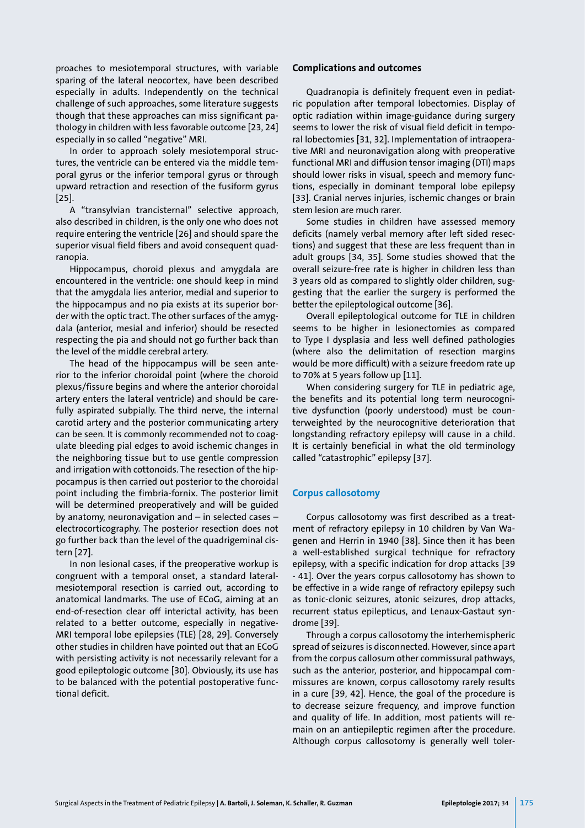proaches to mesiotemporal structures, with variable sparing of the lateral neocortex, have been described especially in adults. Independently on the technical challenge of such approaches, some literature suggests though that these approaches can miss significant pathology in children with less favorable outcome [23, 24] especially in so called "negative" MRI.

In order to approach solely mesiotemporal structures, the ventricle can be entered via the middle temporal gyrus or the inferior temporal gyrus or through upward retraction and resection of the fusiform gyrus  $[25]$ .

A "transylvian trancisternal" selective approach, also described in children, is the only one who does not require entering the ventricle [26] and should spare the superior visual field fibers and avoid consequent quadranopia.

Hippocampus, choroid plexus and amygdala are encountered in the ventricle: one should keep in mind that the amygdala lies anterior, medial and superior to the hippocampus and no pia exists at its superior border with the optic tract. The other surfaces of the amygdala (anterior, mesial and inferior) should be resected respecting the pia and should not go further back than the level of the middle cerebral artery.

The head of the hippocampus will be seen anterior to the inferior choroidal point (where the choroid plexus/fissure begins and where the anterior choroidal artery enters the lateral ventricle) and should be carefully aspirated subpially. The third nerve, the internal carotid artery and the posterior communicating artery can be seen. It is commonly recommended not to coagulate bleeding pial edges to avoid ischemic changes in the neighboring tissue but to use gentle compression and irrigation with cottonoids. The resection of the hippocampus is then carried out posterior to the choroidal point including the fimbria-fornix. The posterior limit will be determined preoperatively and will be guided by anatomy, neuronavigation and – in selected cases – electrocorticography. The posterior resection does not go further back than the level of the quadrigeminal cistern [27].

In non lesional cases, if the preoperative workup is congruent with a temporal onset, a standard lateralmesiotemporal resection is carried out, according to anatomical landmarks. The use of ECoG, aiming at an end-of-resection clear off interictal activity, has been related to a better outcome, especially in negative-MRI temporal lobe epilepsies (TLE) [28, 29]. Conversely other studies in children have pointed out that an ECoG with persisting activity is not necessarily relevant for a good epileptologic outcome [30]. Obviously, its use has to be balanced with the potential postoperative functional deficit.

### **Complications and outcomes**

Quadranopia is definitely frequent even in pediatric population after temporal lobectomies. Display of optic radiation within image-guidance during surgery seems to lower the risk of visual field deficit in temporal lobectomies [31, 32]. Implementation of intraoperative MRI and neuronavigation along with preoperative functional MRI and diffusion tensor imaging (DTI) maps should lower risks in visual, speech and memory functions, especially in dominant temporal lobe epilepsy [33]. Cranial nerves injuries, ischemic changes or brain stem lesion are much rarer.

Some studies in children have assessed memory deficits (namely verbal memory after left sided resections) and suggest that these are less frequent than in adult groups [34, 35]. Some studies showed that the overall seizure-free rate is higher in children less than 3 years old as compared to slightly older children, suggesting that the earlier the surgery is performed the better the epileptological outcome [36].

Overall epileptological outcome for TLE in children seems to be higher in lesionectomies as compared to Type I dysplasia and less well defined pathologies (where also the delimitation of resection margins would be more difficult) with a seizure freedom rate up to 70% at 5 years follow up [11].

When considering surgery for TLE in pediatric age, the benefits and its potential long term neurocognitive dysfunction (poorly understood) must be counterweighted by the neurocognitive deterioration that longstanding refractory epilepsy will cause in a child. It is certainly beneficial in what the old terminology called "catastrophic" epilepsy [37].

#### **Corpus callosotomy**

Corpus callosotomy was first described as a treatment of refractory epilepsy in 10 children by Van Wagenen and Herrin in 1940 [38]. Since then it has been a well-established surgical technique for refractory epilepsy, with a specific indication for drop attacks [39 - 41]. Over the years corpus callosotomy has shown to be effective in a wide range of refractory epilepsy such as tonic-clonic seizures, atonic seizures, drop attacks, recurrent status epilepticus, and Lenaux-Gastaut syndrome [39].

Through a corpus callosotomy the interhemispheric spread of seizures is disconnected. However, since apart from the corpus callosum other commissural pathways, such as the anterior, posterior, and hippocampal commissures are known, corpus callosotomy rarely results in a cure [39, 42]. Hence, the goal of the procedure is to decrease seizure frequency, and improve function and quality of life. In addition, most patients will remain on an antiepileptic regimen after the procedure. Although corpus callosotomy is generally well toler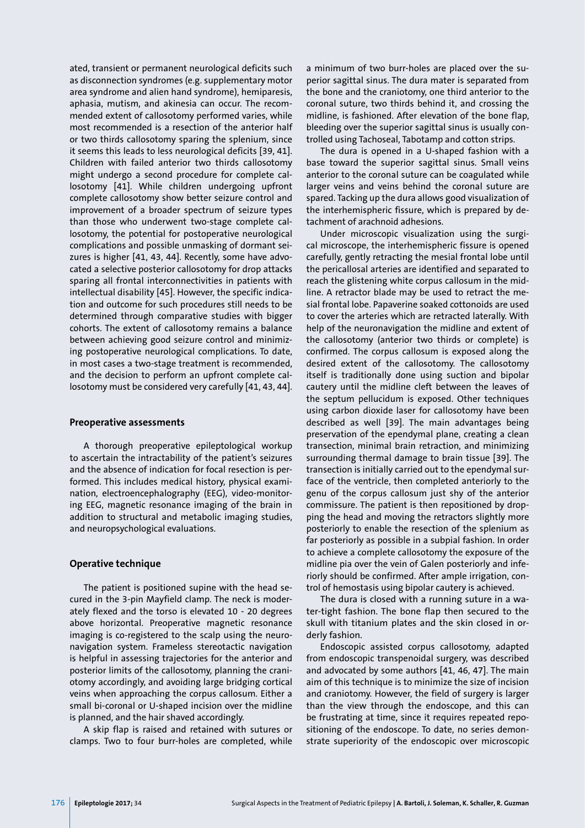ated, transient or permanent neurological deficits such as disconnection syndromes (e.g. supplementary motor area syndrome and alien hand syndrome), hemiparesis, aphasia, mutism, and akinesia can occur. The recommended extent of callosotomy performed varies, while most recommended is a resection of the anterior half or two thirds callosotomy sparing the splenium, since it seems this leads to less neurological deficits [39, 41]. Children with failed anterior two thirds callosotomy might undergo a second procedure for complete callosotomy [41]. While children undergoing upfront complete callosotomy show better seizure control and improvement of a broader spectrum of seizure types than those who underwent two-stage complete callosotomy, the potential for postoperative neurological complications and possible unmasking of dormant seizures is higher [41, 43, 44]. Recently, some have advocated a selective posterior callosotomy for drop attacks sparing all frontal interconnectivities in patients with intellectual disability [45]. However, the specific indication and outcome for such procedures still needs to be determined through comparative studies with bigger cohorts. The extent of callosotomy remains a balance between achieving good seizure control and minimizing postoperative neurological complications. To date, in most cases a two-stage treatment is recommended, and the decision to perform an upfront complete callosotomy must be considered very carefully [41, 43, 44].

#### **Preoperative assessments**

A thorough preoperative epileptological workup to ascertain the intractability of the patient's seizures and the absence of indication for focal resection is performed. This includes medical history, physical examination, electroencephalography (EEG), video-monitoring EEG, magnetic resonance imaging of the brain in addition to structural and metabolic imaging studies, and neuropsychological evaluations.

### **Operative technique**

The patient is positioned supine with the head secured in the 3-pin Mayfield clamp. The neck is moderately flexed and the torso is elevated 10 - 20 degrees above horizontal. Preoperative magnetic resonance imaging is co-registered to the scalp using the neuronavigation system. Frameless stereotactic navigation is helpful in assessing trajectories for the anterior and posterior limits of the callosotomy, planning the craniotomy accordingly, and avoiding large bridging cortical veins when approaching the corpus callosum. Either a small bi-coronal or U-shaped incision over the midline is planned, and the hair shaved accordingly.

A skip flap is raised and retained with sutures or clamps. Two to four burr-holes are completed, while a minimum of two burr-holes are placed over the superior sagittal sinus. The dura mater is separated from the bone and the craniotomy, one third anterior to the coronal suture, two thirds behind it, and crossing the midline, is fashioned. After elevation of the bone flap, bleeding over the superior sagittal sinus is usually controlled using Tachoseal, Tabotamp and cotton strips.

The dura is opened in a U-shaped fashion with a base toward the superior sagittal sinus. Small veins anterior to the coronal suture can be coagulated while larger veins and veins behind the coronal suture are spared. Tacking up the dura allows good visualization of the interhemispheric fissure, which is prepared by detachment of arachnoid adhesions.

Under microscopic visualization using the surgical microscope, the interhemispheric fissure is opened carefully, gently retracting the mesial frontal lobe until the pericallosal arteries are identified and separated to reach the glistening white corpus callosum in the midline. A retractor blade may be used to retract the mesial frontal lobe. Papaverine soaked cottonoids are used to cover the arteries which are retracted laterally. With help of the neuronavigation the midline and extent of the callosotomy (anterior two thirds or complete) is confirmed. The corpus callosum is exposed along the desired extent of the callosotomy. The callosotomy itself is traditionally done using suction and bipolar cautery until the midline cleft between the leaves of the septum pellucidum is exposed. Other techniques using carbon dioxide laser for callosotomy have been described as well [39]. The main advantages being preservation of the ependymal plane, creating a clean transection, minimal brain retraction, and minimizing surrounding thermal damage to brain tissue [39]. The transection is initially carried out to the ependymal surface of the ventricle, then completed anteriorly to the genu of the corpus callosum just shy of the anterior commissure. The patient is then repositioned by dropping the head and moving the retractors slightly more posteriorly to enable the resection of the splenium as far posteriorly as possible in a subpial fashion. In order to achieve a complete callosotomy the exposure of the midline pia over the vein of Galen posteriorly and inferiorly should be confirmed. After ample irrigation, control of hemostasis using bipolar cautery is achieved.

The dura is closed with a running suture in a water-tight fashion. The bone flap then secured to the skull with titanium plates and the skin closed in orderly fashion.

Endoscopic assisted corpus callosotomy, adapted from endoscopic transpenoidal surgery, was described and advocated by some authors [41, 46, 47]. The main aim of this technique is to minimize the size of incision and craniotomy. However, the field of surgery is larger than the view through the endoscope, and this can be frustrating at time, since it requires repeated repositioning of the endoscope. To date, no series demonstrate superiority of the endoscopic over microscopic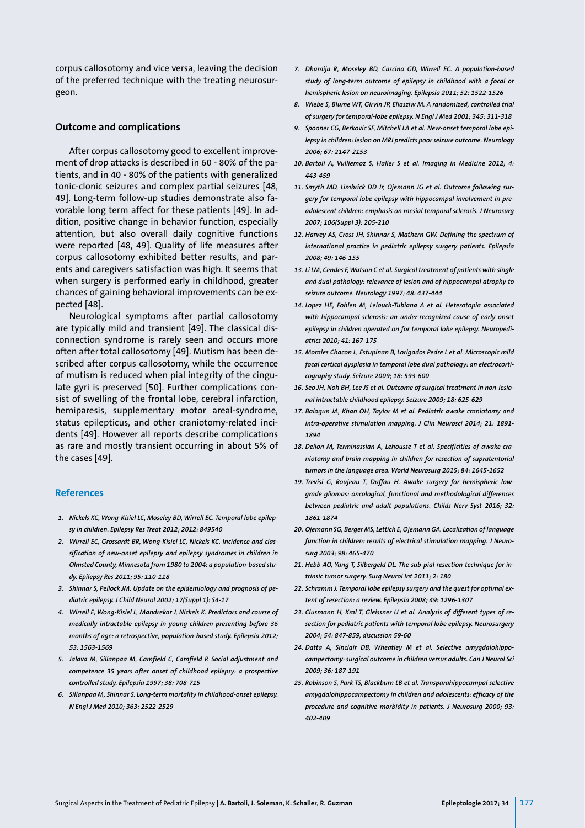corpus callosotomy and vice versa, leaving the decision of the preferred technique with the treating neurosurgeon.

#### **Outcome and complications**

After corpus callosotomy good to excellent improvement of drop attacks is described in 60 - 80% of the patients, and in 40 - 80% of the patients with generalized tonic-clonic seizures and complex partial seizures [48, 49]. Long-term follow-up studies demonstrate also favorable long term affect for these patients [49]. In addition, positive change in behavior function, especially attention, but also overall daily cognitive functions were reported [48, 49]. Quality of life measures after corpus callosotomy exhibited better results, and parents and caregivers satisfaction was high. It seems that when surgery is performed early in childhood, greater chances of gaining behavioral improvements can be expected [48].

Neurological symptoms after partial callosotomy are typically mild and transient [49]. The classical disconnection syndrome is rarely seen and occurs more often after total callosotomy [49]. Mutism has been described after corpus callosotomy, while the occurrence of mutism is reduced when pial integrity of the cingulate gyri is preserved [50]. Further complications consist of swelling of the frontal lobe, cerebral infarction, hemiparesis, supplementary motor areal-syndrome, status epilepticus, and other craniotomy-related incidents [49]. However all reports describe complications as rare and mostly transient occurring in about 5% of the cases [49].

#### **References**

- *1. Nickels KC, Wong-Kisiel LC, Moseley BD, Wirrell EC. Temporal lobe epilepsy in children. Epilepsy Res Treat 2012; 2012: 849540*
- *2. Wirrell EC, Grossardt BR, Wong-Kisiel LC, Nickels KC. Incidence and classification of new-onset epilepsy and epilepsy syndromes in children in Olmsted County, Minnesota from 1980 to 2004: a population-based study. Epilepsy Res 2011; 95: 110-118*
- *3. Shinnar S, Pellock JM. Update on the epidemiology and prognosis of pediatric epilepsy. J Child Neurol 2002; 17(Suppl 1): S4-17*
- *4. Wirrell E, Wong-Kisiel L, Mandrekar J, Nickels K. Predictors and course of medically intractable epilepsy in young children presenting before 36 months of age: a retrospective, population-based study. Epilepsia 2012; 53: 1563-1569*
- *5. Jalava M, Sillanpaa M, Camfield C, Camfield P. Social adjustment and competence 35 years after onset of childhood epilepsy: a prospective controlled study. Epilepsia 1997; 38: 708-715*
- *6. Sillanpaa M, Shinnar S. Long-term mortality in childhood-onset epilepsy. N Engl J Med 2010; 363: 2522-2529*
- *7. Dhamija R, Moseley BD, Cascino GD, Wirrell EC. A population-based study of long-term outcome of epilepsy in childhood with a focal or hemispheric lesion on neuroimaging. Epilepsia 2011; 52: 1522-1526*
- *8. Wiebe S, Blume WT, Girvin JP, Eliasziw M. A randomized, controlled trial of surgery for temporal-lobe epilepsy. N Engl J Med 2001; 345: 311-318*
- *9. Spooner CG, Berkovic SF, Mitchell LA et al. New-onset temporal lobe epilepsy in children: lesion on MRI predicts poor seizure outcome. Neurology 2006; 67: 2147-2153*
- *10. Bartoli A, Vulliemoz S, Haller S et al. Imaging in Medicine 2012; 4: 443-459*
- *11. Smyth MD, Limbrick DD Jr, Ojemann JG et al. Outcome following surgery for temporal lobe epilepsy with hippocampal involvement in preadolescent children: emphasis on mesial temporal sclerosis. J Neurosurg 2007; 106(Suppl 3): 205-210*
- *12. Harvey AS, Cross JH, Shinnar S, Mathern GW. Defining the spectrum of international practice in pediatric epilepsy surgery patients. Epilepsia 2008; 49: 146-155*
- *13. Li LM, Cendes F, Watson C et al. Surgical treatment of patients with single and dual pathology: relevance of lesion and of hippocampal atrophy to seizure outcome. Neurology 1997; 48: 437-444*
- *14. Lopez HE, Fohlen M, Lelouch-Tubiana A et al. Heterotopia associated with hippocampal sclerosis: an under-recognized cause of early onset epilepsy in children operated on for temporal lobe epilepsy. Neuropediatrics 2010; 41: 167-175*
- *15. Morales Chacon L, Estupinan B, Lorigados Pedre L et al. Microscopic mild focal cortical dysplasia in temporal lobe dual pathology: an electrocorticography study. Seizure 2009; 18: 593-600*
- *16. Seo JH, Noh BH, Lee JS et al. Outcome of surgical treatment in non-lesional intractable childhood epilepsy. Seizure 2009; 18: 625-629*
- *17. Balogun JA, Khan OH, Taylor M et al. Pediatric awake craniotomy and intra-operative stimulation mapping. J Clin Neurosci 2014; 21: 1891- 1894*
- *18. Delion M, Terminassian A, Lehousse T et al. Specificities of awake craniotomy and brain mapping in children for resection of supratentorial tumors in the language area. World Neurosurg 2015; 84: 1645-1652*
- *19. Trevisi G, Roujeau T, Duffau H. Awake surgery for hemispheric lowgrade gliomas: oncological, functional and methodological differences between pediatric and adult populations. Childs Nerv Syst 2016; 32: 1861-1874*
- *20. Ojemann SG, Berger MS, Lettich E, Ojemann GA. Localization of language function in children: results of electrical stimulation mapping. J Neurosurg 2003; 98: 465-470*
- *21. Hebb AO, Yang T, Silbergeld DL. The sub-pial resection technique for intrinsic tumor surgery. Surg Neurol Int 2011; 2: 180*
- *22. Schramm J. Temporal lobe epilepsy surgery and the quest for optimal extent of resection: a review. Epilepsia 2008; 49: 1296-1307*
- *23. Clusmann H, Kral T, Gleissner U et al. Analysis of different types of resection for pediatric patients with temporal lobe epilepsy. Neurosurgery 2004; 54: 847-859, discussion 59-60*
- *24. Datta A, Sinclair DB, Wheatley M et al. Selective amygdalohippocampectomy: surgical outcome in children versus adults. Can J Neurol Sci 2009; 36: 187-191*
- *25. Robinson S, Park TS, Blackburn LB et al. Transparahippocampal selective amygdalohippocampectomy in children and adolescents: efficacy of the procedure and cognitive morbidity in patients. J Neurosurg 2000; 93: 402-409*